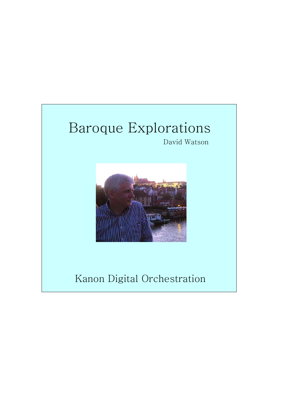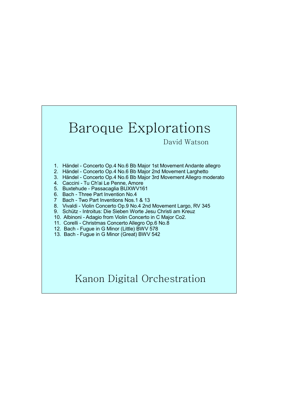### Baroque Explorations

David Watson

- 1. Händel Concerto Op.4 No.6 Bb Major 1st Movement Andante allegro
- 2. Händel Concerto Op.4 No.6 Bb Major 2nd Movement Larghetto
- 3. Händel Concerto Op.4 No.6 Bb Major 3rd Movement Allegro moderato
- 4. Caccini Tu Ch'ai Le Penne, Amore
- 5. Buxtehude Passacaglia BUXWV161
- 6. Bach Three Part Invention No.4
- 7 Bach Two Part Inventions Nos.1 & 13
- 8. Vivaldi Violin Concerto Op.9 No.4 2nd Movement Largo, RV 345
- 9. Schütz Introitus: Die Sieben Worte Jesu Christi am Kreuz
- 10. Albinoni Adagio from Violin Concerto in C Major Co2.
- 11. Corelli Christmas Concerto Allegro Op.6 No.8
- 12. Bach Fugue in G Minor (Little) BWV 578
- 13. Bach Fugue in G Minor (Great) BWV 542

#### Kanon Digital Orchestration